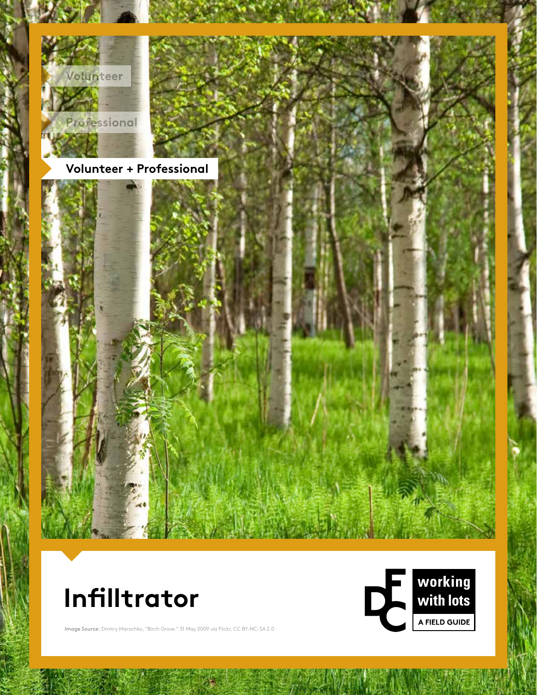





Image Source: Dmitry Marochko, "Birch Grove." 31 May 2009 via Flickr, CC BY-NC-SA 2.0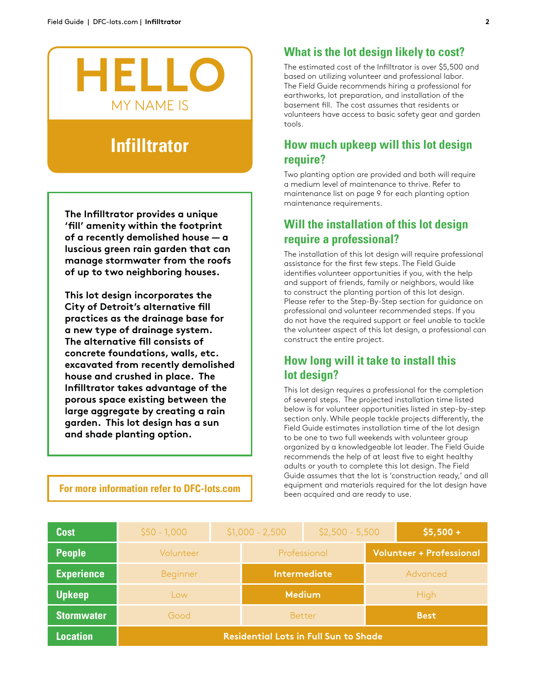

# **Infilltrator**

**The Infilltrator provides a unique 'fill' amenity within the footprint of a recently demolished house — a luscious green rain garden that can manage stormwater from the roofs of up to two neighboring houses.**

**This lot design incorporates the City of Detroit's alternative fill practices as the drainage base for a new type of drainage system. The alternative fill consists of concrete foundations, walls, etc. excavated from recently demolished house and crushed in place. The Infilltrator takes advantage of the porous space existing between the large aggregate by creating a rain garden. This lot design has a sun and shade planting option.** 

#### **For more information refer to DFC-lots.com**

#### **What is the lot design likely to cost?**

The estimated cost of the Infilltrator is over \$5,500 and based on utilizing volunteer and professional labor. The Field Guide recommends hiring a professional for earthworks, lot preparation, and installation of the basement fill. The cost assumes that residents or volunteers have access to basic safety gear and garden tools.

#### **How much upkeep will this lot design require?**

Two planting option are provided and both will require a medium level of maintenance to thrive. Refer to maintenance list on page 9 for each planting option maintenance requirements.

## **Will the installation of this lot design require a professional?**

The installation of this lot design will require professional assistance for the first few steps. The Field Guide identifies volunteer opportunities if you, with the help and support of friends, family or neighbors, would like to construct the planting portion of this lot design. Please refer to the Step-By-Step section for guidance on professional and volunteer recommended steps. If you do not have the required support or feel unable to tackle the volunteer aspect of this lot design, a professional can construct the entire project.

## **How long will it take to install this lot design?**

This lot design requires a professional for the completion of several steps. The projected installation time listed below is for volunteer opportunities listed in step-by-step section only. While people tackle projects differently, the Field Guide estimates installation time of the lot design to be one to two full weekends with volunteer group organized by a knowledgeable lot leader. The Field Guide recommends the help of at least five to eight healthy adults or youth to complete this lot design. The Field Guide assumes that the lot is 'construction ready,' and all equipment and materials required for the lot design have been acquired and are ready to use.

| <b>Cost</b>       | $$50 - 1,000$                                | $$1,000 - 2,500$ |                     | $$2,500 - 5,500$ |                                 | $$5,500 +$  |  |
|-------------------|----------------------------------------------|------------------|---------------------|------------------|---------------------------------|-------------|--|
| <b>People</b>     | Volunteer                                    |                  | Professional        |                  | <b>Volunteer + Professional</b> |             |  |
| <b>Experience</b> | Beginner                                     |                  | <b>Intermediate</b> |                  | Advanced                        |             |  |
| <b>Upkeep</b>     | Low                                          |                  | <b>Medium</b>       |                  | <b>High</b>                     |             |  |
| <b>Stormwater</b> | Good                                         |                  |                     | <b>Better</b>    |                                 | <b>Best</b> |  |
| <b>Location</b>   | <b>Residential Lots in Full Sun to Shade</b> |                  |                     |                  |                                 |             |  |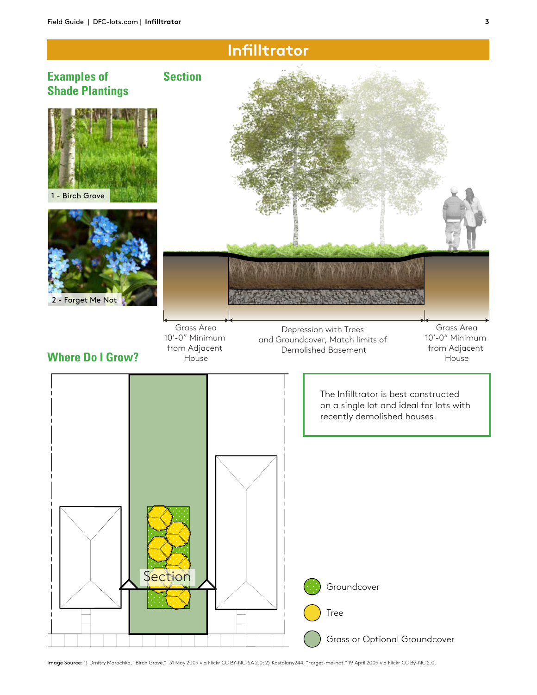

Tree

 $\overline{\phantom{a}}$ 

Grass or Optional Groundcover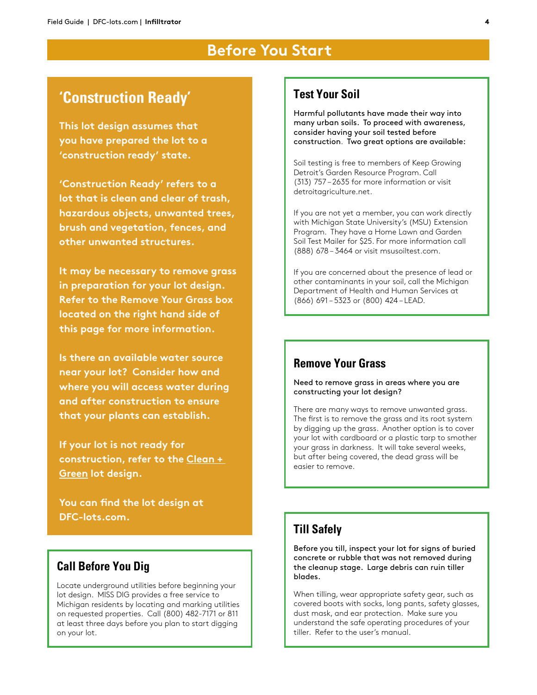## **Before You Start**

## **'Construction Ready'**

**This lot design assumes that you have prepared the lot to a 'construction ready' state.**

**'Construction Ready' refers to a lot that is clean and clear of trash, hazardous objects, unwanted trees, brush and vegetation, fences, and other unwanted structures.** 

**It may be necessary to remove grass in preparation for your lot design. Refer to the Remove Your Grass box located on the right hand side of this page for more information.**

**Is there an available water source near your lot? Consider how and where you will access water during and after construction to ensure that your plants can establish.** 

**If your lot is not ready for construction, refer to the Clean + Green lot design.**

**You can find the lot design at DFC-lots.com.**

## **Call Before You Dig**

Locate underground utilities before beginning your lot design. MISS DIG provides a free service to Michigan residents by locating and marking utilities on requested properties. Call (800) 482-7171 or 811 at least three days before you plan to start digging on your lot.

#### **Test Your Soil**

Harmful pollutants have made their way into many urban soils. To proceed with awareness, consider having your soil tested before construction. Two great options are available:

Soil testing is free to members of Keep Growing Detroit's Garden Resource Program. Call (313) 757 – 2635 for more information or visit detroitagriculture.net.

If you are not yet a member, you can work directly with Michigan State University's (MSU) Extension Program. They have a Home Lawn and Garden Soil Test Mailer for \$25. For more information call (888) 678 – 3464 or visit msusoiltest.com.

If you are concerned about the presence of lead or other contaminants in your soil, call the Michigan Department of Health and Human Services at (866) 691 – 5323 or (800) 424 – LEAD.

## **Remove Your Grass**

Need to remove grass in areas where you are constructing your lot design?

There are many ways to remove unwanted grass. The first is to remove the grass and its root system by digging up the grass. Another option is to cover your lot with cardboard or a plastic tarp to smother your grass in darkness. It will take several weeks, but after being covered, the dead grass will be easier to remove.

#### **Till Safely**

Before you till, inspect your lot for signs of buried concrete or rubble that was not removed during the cleanup stage. Large debris can ruin tiller blades.

When tilling, wear appropriate safety gear, such as covered boots with socks, long pants, safety glasses, dust mask, and ear protection. Make sure you understand the safe operating procedures of your tiller. Refer to the user's manual.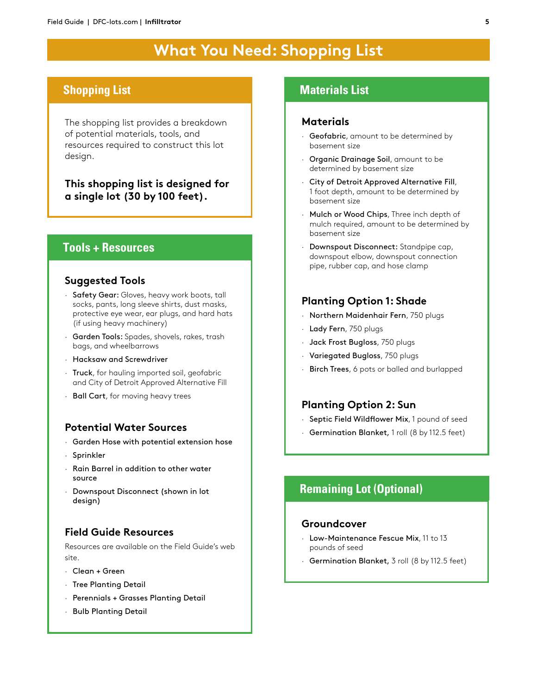# **What You Need: Shopping List**

#### **Shopping List**

The shopping list provides a breakdown of potential materials, tools, and resources required to construct this lot design.

**This shopping list is designed for a single lot (30 by 100 feet).**

#### **Tools + Resources**

#### **Suggested Tools**

- · Safety Gear: Gloves, heavy work boots, tall socks, pants, long sleeve shirts, dust masks, protective eye wear, ear plugs, and hard hats (if using heavy machinery)
- · Garden Tools: Spades, shovels, rakes, trash bags, and wheelbarrows
- · Hacksaw and Screwdriver
- · Truck, for hauling imported soil, geofabric and City of Detroit Approved Alternative Fill
- · Ball Cart, for moving heavy trees

#### **Potential Water Sources**

- · Garden Hose with potential extension hose
- · Sprinkler
- · Rain Barrel in addition to other water source
- · Downspout Disconnect (shown in lot design)

#### **Field Guide Resources**

Resources are available on the Field Guide's web site.

- · Clean + Green
- · Tree Planting Detail
- · Perennials + Grasses Planting Detail
- · Bulb Planting Detail

#### **Materials List**

#### **Materials**

- · Geofabric, amount to be determined by basement size
- · Organic Drainage Soil, amount to be determined by basement size
- City of Detroit Approved Alternative Fill, 1 foot depth, amount to be determined by basement size
- · Mulch or Wood Chips, Three inch depth of mulch required, amount to be determined by basement size
- · Downspout Disconnect: Standpipe cap, downspout elbow, downspout connection pipe, rubber cap, and hose clamp

#### **Planting Option 1: Shade**

- · Northern Maidenhair Fern, 750 plugs
- · Lady Fern, 750 plugs
- · Jack Frost Bugloss, 750 plugs
- · Variegated Bugloss, 750 plugs
- · Birch Trees, 6 pots or balled and burlapped

#### **Planting Option 2: Sun**

- · Septic Field Wildflower Mix, 1 pound of seed
- · Germination Blanket, 1 roll (8 by 112.5 feet)

## **Remaining Lot (Optional)**

#### **Groundcover**

- · Low-Maintenance Fescue Mix, 11 to 13 pounds of seed
- · Germination Blanket, 3 roll (8 by 112.5 feet)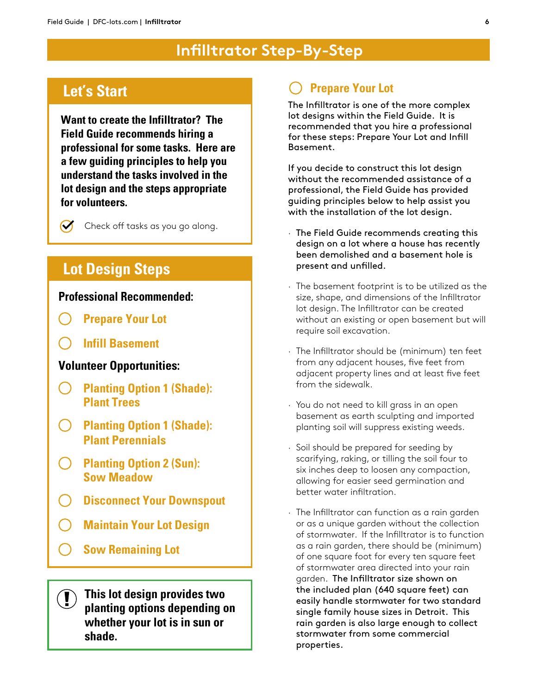# **Infilltrator Step-By-Step**

## **Let's Start**

 $\Omega$ 

**Want to create the Infilltrator? The Field Guide recommends hiring a professional for some tasks. Here are a few guiding principles to help you understand the tasks involved in the lot design and the steps appropriate for volunteers.**

Check off tasks as you go along.

## **Lot Design Steps**

#### **Professional Recommended:**

- **Prepare Your Lot**
- **Infill Basement**

#### **Volunteer Opportunities:**

- **Planting Option 1 (Shade):**   $\bigcap$ **Plant Trees**
- **Planting Option 1 (Shade): Plant Perennials**
- **Planting Option 2 (Sun): Sow Meadow**
- **Disconnect Your Downspout**
- **Maintain Your Lot Design**
- $\left(\begin{array}{c} 1 \end{array}\right)$ **Sow Remaining Lot**

**This lot design provides two planting options depending on whether your lot is in sun or shade.** 

## **Prepare Your Lot**

The Infilltrator is one of the more complex lot designs within the Field Guide. It is recommended that you hire a professional for these steps: Prepare Your Lot and Infill Basement.

If you decide to construct this lot design without the recommended assistance of a professional, the Field Guide has provided guiding principles below to help assist you with the installation of the lot design.

- · The Field Guide recommends creating this design on a lot where a house has recently been demolished and a basement hole is present and unfilled.
- · The basement footprint is to be utilized as the size, shape, and dimensions of the Infilltrator lot design. The Infilltrator can be created without an existing or open basement but will require soil excavation.
- · The Infilltrator should be (minimum) ten feet from any adjacent houses, five feet from adjacent property lines and at least five feet from the sidewalk.
- · You do not need to kill grass in an open basement as earth sculpting and imported planting soil will suppress existing weeds.
- · Soil should be prepared for seeding by scarifying, raking, or tilling the soil four to six inches deep to loosen any compaction, allowing for easier seed germination and better water infiltration.
- · The Infilltrator can function as a rain garden or as a unique garden without the collection of stormwater. If the Infilltrator is to function as a rain garden, there should be (minimum) of one square foot for every ten square feet of stormwater area directed into your rain garden. The Infilltrator size shown on the included plan (640 square feet) can easily handle stormwater for two standard single family house sizes in Detroit. This rain garden is also large enough to collect stormwater from some commercial properties.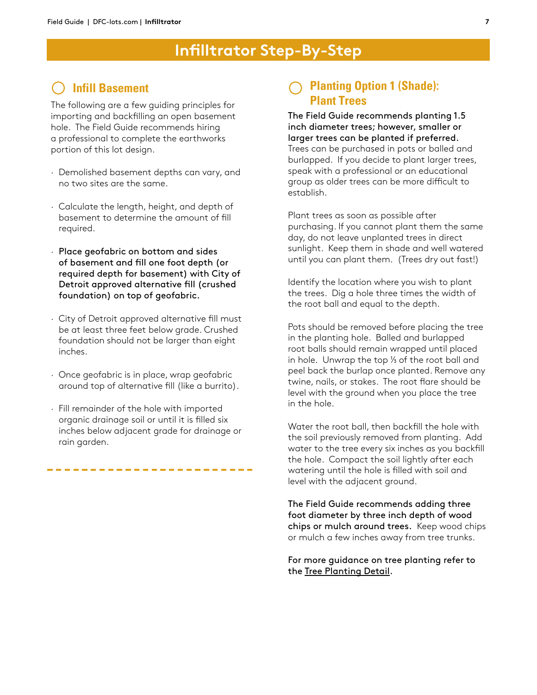## **Infill Basement**

The following are a few guiding principles for importing and backfilling an open basement hole. The Field Guide recommends hiring a professional to complete the earthworks portion of this lot design.

- · Demolished basement depths can vary, and no two sites are the same.
- · Calculate the length, height, and depth of basement to determine the amount of fill required.
- · Place geofabric on bottom and sides of basement and fill one foot depth (or required depth for basement) with City of Detroit approved alternative fill (crushed foundation) on top of geofabric.
- · City of Detroit approved alternative fill must be at least three feet below grade. Crushed foundation should not be larger than eight inches.
- · Once geofabric is in place, wrap geofabric around top of alternative fill (like a burrito).
- · Fill remainder of the hole with imported organic drainage soil or until it is filled six inches below adjacent grade for drainage or rain garden.

------------

### **Planting Option 1 (Shade): Plant Trees**

The Field Guide recommends planting 1.5 inch diameter trees; however, smaller or larger trees can be planted if preferred. Trees can be purchased in pots or balled and burlapped. If you decide to plant larger trees, speak with a professional or an educational group as older trees can be more difficult to establish.

Plant trees as soon as possible after purchasing. If you cannot plant them the same day, do not leave unplanted trees in direct sunlight. Keep them in shade and well watered until you can plant them. (Trees dry out fast!)

Identify the location where you wish to plant the trees. Dig a hole three times the width of the root ball and equal to the depth.

Pots should be removed before placing the tree in the planting hole. Balled and burlapped root balls should remain wrapped until placed in hole. Unwrap the top  $\frac{1}{3}$  of the root ball and peel back the burlap once planted. Remove any twine, nails, or stakes. The root flare should be level with the ground when you place the tree in the hole.

Water the root ball, then backfill the hole with the soil previously removed from planting. Add water to the tree every six inches as you backfill the hole. Compact the soil lightly after each watering until the hole is filled with soil and level with the adjacent ground.

The Field Guide recommends adding three foot diameter by three inch depth of wood chips or mulch around trees. Keep wood chips or mulch a few inches away from tree trunks.

For more guidance on tree planting refer to the Tree Planting Detail.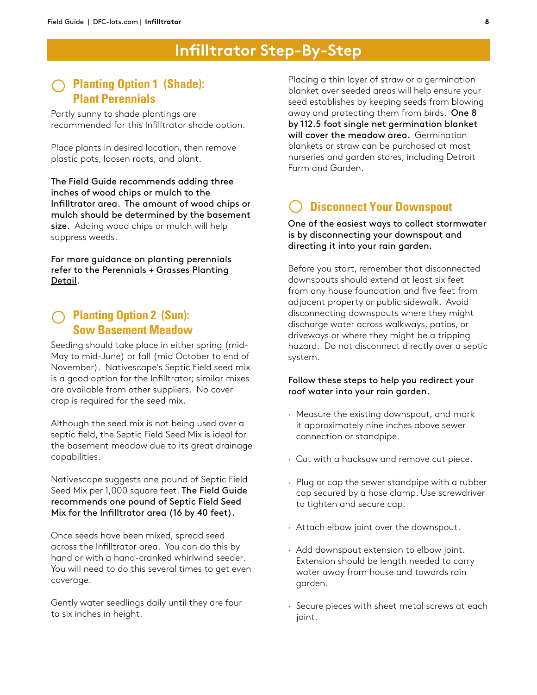#### **Planting Option 1 (Shade): Plant Perennials**

Partly sunny to shade plantings are recommended for this Infilltrator shade option.

Place plants in desired location, then remove plastic pots, loosen roots, and plant.

The Field Guide recommends adding three inches of wood chips or mulch to the Infilltrator area. The amount of wood chips or mulch should be determined by the basement size. Adding wood chips or mulch will help suppress weeds.

For more guidance on planting perennials refer to the Perennials + Grasses Planting Detail.

#### **Planting Option 2 (Sun): Sow Basement Meadow**

Seeding should take place in either spring (mid-May to mid-June) or fall (mid October to end of November). Nativescape's Septic Field seed mix is a good option for the Infilltrator; similar mixes are available from other suppliers. No cover crop is required for the seed mix.

Although the seed mix is not being used over a septic field, the Septic Field Seed Mix is ideal for the basement meadow due to its great drainage capabilities.

Nativescape suggests one pound of Septic Field Seed Mix per 1,000 square feet. The Field Guide recommends one pound of Septic Field Seed Mix for the Infilltrator area (16 by 40 feet).

Once seeds have been mixed, spread seed across the Infilltrator area. You can do this by hand or with a hand-cranked whirlwind seeder. You will need to do this several times to get even coverage.

Gently water seedlings daily until they are four to six inches in height.

Placing a thin layer of straw or a germination blanket over seeded areas will help ensure your seed establishes by keeping seeds from blowing away and protecting them from birds. One 8 by 112.5 foot single net germination blanket will cover the meadow area. Germination blankets or straw can be purchased at most nurseries and garden stores, including Detroit Farm and Garden.

## **Disconnect Your Downspout**

One of the easiest ways to collect stormwater is by disconnecting your downspout and directing it into your rain garden.

Before you start, remember that disconnected downspouts should extend at least six feet from any house foundation and five feet from adjacent property or public sidewalk. Avoid disconnecting downspouts where they might discharge water across walkways, patios, or driveways or where they might be a tripping hazard. Do not disconnect directly over a septic system.

#### Follow these steps to help you redirect your roof water into your rain garden.

- · Measure the existing downspout, and mark it approximately nine inches above sewer connection or standpipe.
- · Cut with a hacksaw and remove cut piece.
- · Plug or cap the sewer standpipe with a rubber cap secured by a hose clamp. Use screwdriver to tighten and secure cap.
- · Attach elbow joint over the downspout.
- · Add downspout extension to elbow joint. Extension should be length needed to carry water away from house and towards rain garden.
- · Secure pieces with sheet metal screws at each joint.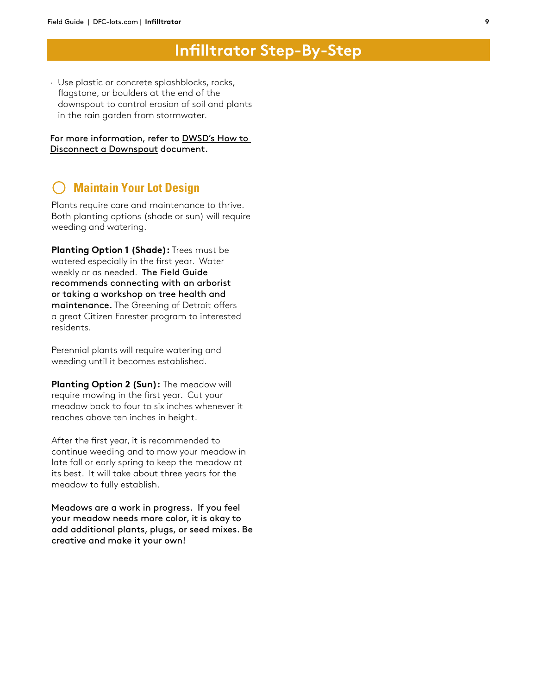· Use plastic or concrete splashblocks, rocks, flagstone, or boulders at the end of the downspout to control erosion of soil and plants in the rain garden from stormwater.

For more information, refer to DWSD's How to Disconnect a Downspout document.

#### **Maintain Your Lot Design**

Plants require care and maintenance to thrive. Both planting options (shade or sun) will require weeding and watering.

**Planting Option 1 (Shade):** Trees must be watered especially in the first year. Water weekly or as needed. The Field Guide recommends connecting with an arborist or taking a workshop on tree health and maintenance. The Greening of Detroit offers a great Citizen Forester program to interested residents.

Perennial plants will require watering and weeding until it becomes established.

**Planting Option 2 (Sun):** The meadow will require mowing in the first year. Cut your meadow back to four to six inches whenever it reaches above ten inches in height.

After the first year, it is recommended to continue weeding and to mow your meadow in late fall or early spring to keep the meadow at its best. It will take about three years for the meadow to fully establish.

Meadows are a work in progress. If you feel your meadow needs more color, it is okay to add additional plants, plugs, or seed mixes. Be creative and make it your own!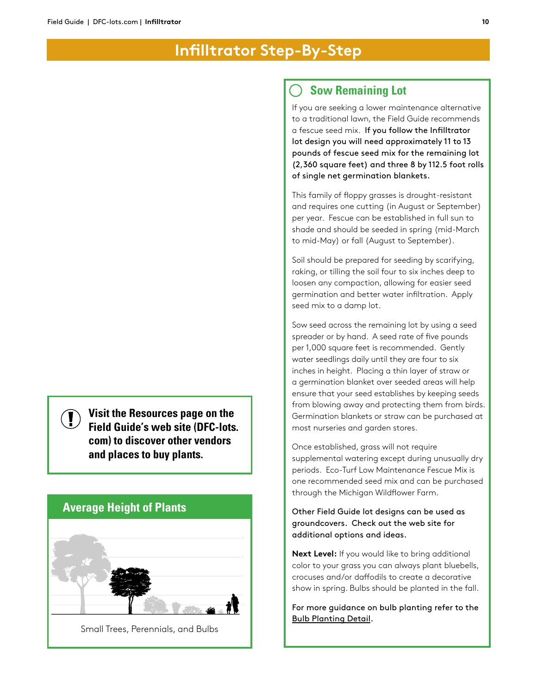#### **Sow Remaining Lot**

If you are seeking a lower maintenance alternative to a traditional lawn, the Field Guide recommends a fescue seed mix. If you follow the Infilltrator lot design you will need approximately 11 to 13 pounds of fescue seed mix for the remaining lot (2,360 square feet) and three 8 by 112.5 foot rolls of single net germination blankets.

This family of floppy grasses is drought-resistant and requires one cutting (in August or September) per year. Fescue can be established in full sun to shade and should be seeded in spring (mid-March to mid-May) or fall (August to September).

Soil should be prepared for seeding by scarifying, raking, or tilling the soil four to six inches deep to loosen any compaction, allowing for easier seed germination and better water infiltration. Apply seed mix to a damp lot.

Sow seed across the remaining lot by using a seed spreader or by hand. A seed rate of five pounds per 1,000 square feet is recommended. Gently water seedlings daily until they are four to six inches in height. Placing a thin layer of straw or a germination blanket over seeded areas will help ensure that your seed establishes by keeping seeds from blowing away and protecting them from birds. Germination blankets or straw can be purchased at most nurseries and garden stores.

Once established, grass will not require supplemental watering except during unusually dry periods. Eco-Turf Low Maintenance Fescue Mix is one recommended seed mix and can be purchased through the Michigan Wildflower Farm.

Other Field Guide lot designs can be used as groundcovers. Check out the web site for additional options and ideas.

**Next Level:** If you would like to bring additional color to your grass you can always plant bluebells, crocuses and/or daffodils to create a decorative show in spring. Bulbs should be planted in the fall.

For more guidance on bulb planting refer to the Bulb Planting Detail.

**Visit the Resources page on the Field Guide's web site (DFC-lots. com) to discover other vendors and places to buy plants.**

#### **Average Height of Plants**

 $\left( \mathbf{\Gamma} \right)$ 



Small Trees, Perennials, and Bulbs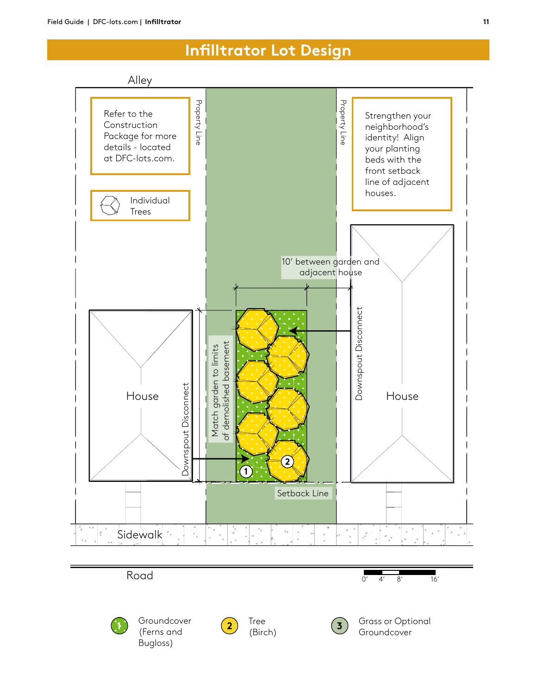# **Infilltrator Lot Design**

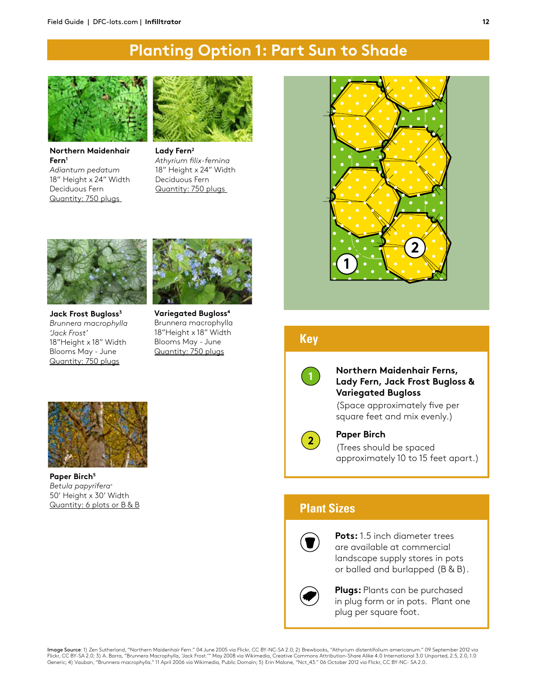# **Planting Option 1: Part Sun to Shade**



**Northern Maidenhair Fern1** *Adiantum pedatum* 18" Height x 24" Width Deciduous Fern Quantity: 750 plugs



**House 2019** *Athyrium filix-femina*  18" Height x 24" Width Deciduous Fern Quantity: 750 plugs



**Jack Frost Bugloss3**  *Brunnera macrophylla 'Jack Frost'* 18"Height x 18" Width Blooms May - June Quantity: 750 plugs



**Variegated Bugloss4**  Brunnera macrophylla 18"Height x 18" Width Blooms May - June Quantity: 750 plugs



Paper Birch<sup>5</sup> *Betula papyrifera+* 50' Height x 30' Width Quantity: 6 plots or B & B



#### **Key**



#### **Northern Maidenhair Ferns, Lady Fern, Jack Frost Bugloss & Variegated Bugloss**

(Space approximately five per square feet and mix evenly.)



#### **Paper Birch**

(Trees should be spaced approximately 10 to 15 feet apart.)

#### **Plant Sizes**



**Pots:** 1.5 inch diameter trees are available at commercial landscape supply stores in pots or balled and burlapped (B & B).



**Plugs:** Plants can be purchased in plug form or in pots. Plant one plug per square foot.

**Image Source**: 1) Zen Sutherland, "Northern Maidenhair Fern." 04 June 2005 via Flickr, CC BY-NC-SA 2.0; 2) Brewbooks, "Athyrium distentifolium americanum." 09 September 2012 via<br>Flickr, CC BY-SA 2.0; 3) A. Barra, "Brunner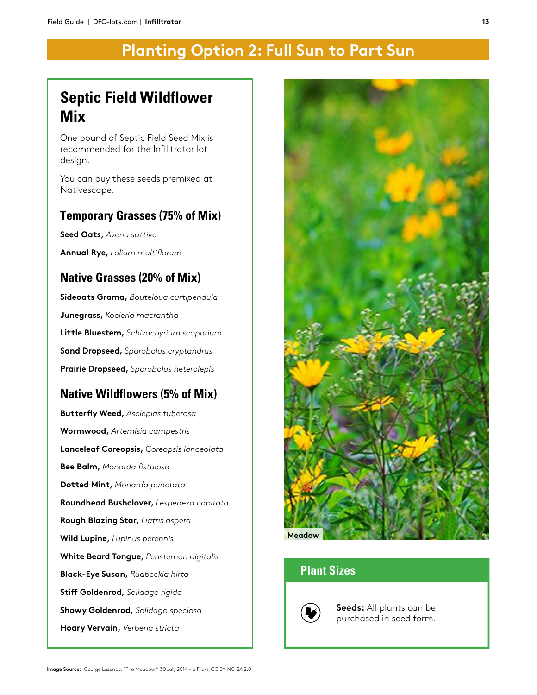# **Planting Option 2: Full Sun to Part Sun**

# **Septic Field Wildflower Mix**

One pound of Septic Field Seed Mix is recommended for the Infilltrator lot design.

You can buy these seeds premixed at Nativescape.

#### **Temporary Grasses (75% of Mix)**

**Seed Oats,** *Avena sattiva*

**Annual Rye,** *Lolium multiflorum*

## **Native Grasses (20% of Mix)**

**Sideoats Grama,** *Bouteloua curtipendula* **Junegrass,** *Koeleria macrantha*  **Little Bluestem,** *Schizachyrium scoparium* **Sand Dropseed,** *Sporobolus cryptandrus* **Prairie Dropseed,** *Sporobolus heterolepis*

## **Native Wildflowers (5% of Mix)**

**Butterfly Weed,** *Asclepias tuberosa* **Wormwood,** *Artemisia campestris*  **Lanceleaf Coreopsis,** *Coreopsis lanceolata* **Bee Balm,** *Monarda fistulosa* **Dotted Mint,** *Monarda punctata* **Roundhead Bushclover,** *Lespedeza capitata* **Rough Blazing Star,** *Liatris aspera*  **Wild Lupine,** *Lupinus perennis*  **White Beard Tongue,** *Penstemon digitalis* **Black-Eye Susan,** *Rudbeckia hirta* **Stiff Goldenrod,** *Solidago rigida*  **Showy Goldenrod,** *Solidago speciosa*  **Hoary Vervain,** *Verbena stricta*



## **Plant Sizes**



**Seeds:** All plants can be purchased in seed form.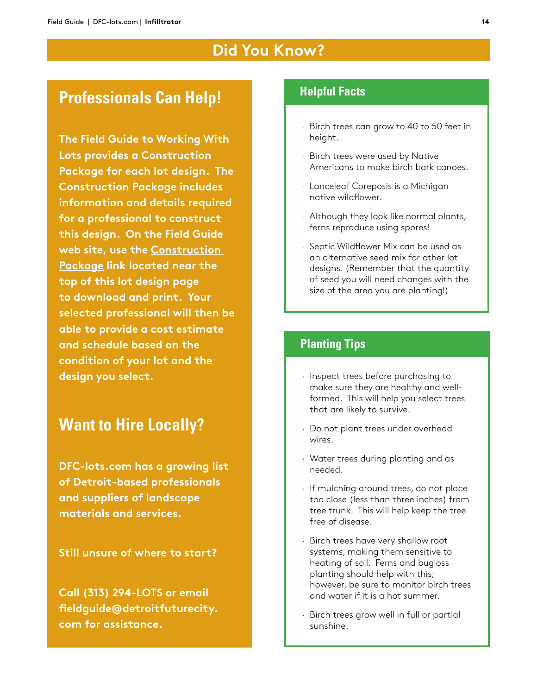## **Did You Know?**

## **Professionals Can Help!**

**The Field Guide to Working With Lots provides a Construction Package for each lot design. The Construction Package includes information and details required for a professional to construct this design. On the Field Guide web site, use the Construction Package link located near the top of this lot design page to download and print. Your selected professional will then be able to provide a cost estimate and schedule based on the condition of your lot and the design you select.**

# **Want to Hire Locally?**

**DFC-lots.com has a growing list of Detroit-based professionals and suppliers of landscape materials and services.**

**Still unsure of where to start?** 

**Call (313) 294-LOTS or email fieldguide@detroitfuturecity. com for assistance.**

#### **Helpful Facts**

- · Birch trees can grow to 40 to 50 feet in height.
- · Birch trees were used by Native Americans to make birch bark canoes.
- · Lanceleaf Coreposis is a Michigan native wildflower.
- · Although they look like normal plants, ferns reproduce using spores!
- · Septic Wildflower Mix can be used as an alternative seed mix for other lot designs. (Remember that the quantity of seed you will need changes with the size of the area you are planting!)

## **Planting Tips**

- · Inspect trees before purchasing to make sure they are healthy and wellformed. This will help you select trees that are likely to survive.
- · Do not plant trees under overhead wires.
- · Water trees during planting and as needed.
- · If mulching around trees, do not place too close (less than three inches) from tree trunk. This will help keep the tree free of disease.
- · Birch trees have very shallow root systems, making them sensitive to heating of soil. Ferns and bugloss planting should help with this; however, be sure to monitor birch trees and water if it is a hot summer.
- · Birch trees grow well in full or partial sunshine.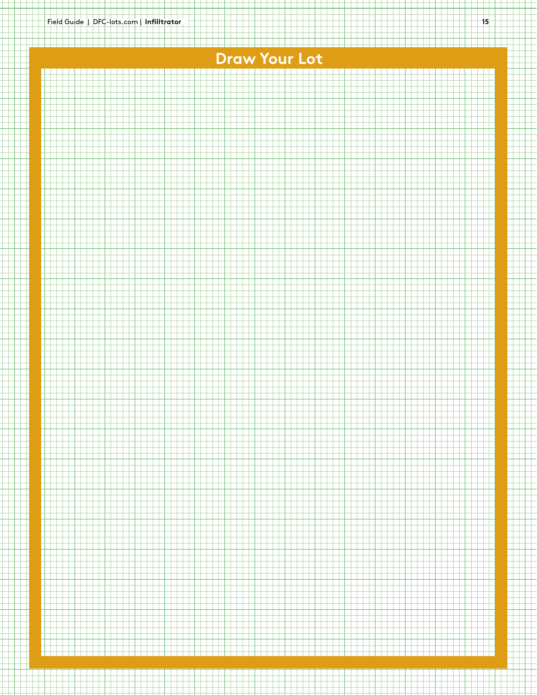# **Draw Your Lot**

<u>tek sebagai bahan bahan dapat pendadan bahan dan bahan dapat bahan dapat pendada dapat bahan bahan dapat p</u>